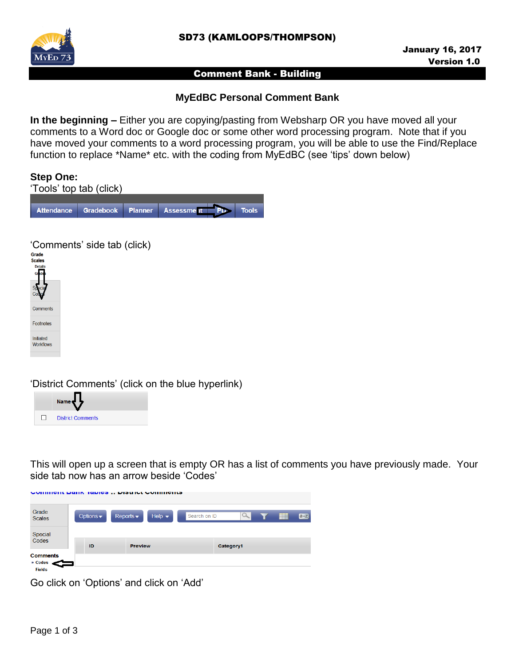

### Comment Bank - Building

# **MyEdBC Personal Comment Bank**

**In the beginning –** Either you are copying/pasting from Websharp OR you have moved all your comments to a Word doc or Google doc or some other word processing program. Note that if you have moved your comments to a word processing program, you will be able to use the Find/Replace function to replace \*Name\* etc. with the coding from MyEdBC (see 'tips' down below)

# **Step One:**

'Tools' top tab (click) **Assessment** PD. **Attendance** Gradebook **Planner Tools** 

'Comments' side tab (click)<br><sup>Grade</sup><br><sup>Scales</sup>



'District Comments' (click on the blue hyperlink)



This will open up a screen that is empty OR has a list of comments you have previously made. Your side tab now has an arrow beside 'Codes'



Go click on 'Options' and click on 'Add'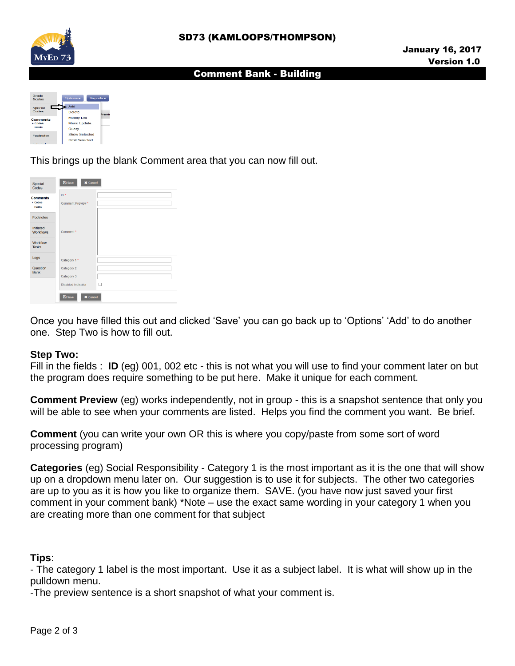

#### Comment Bank - Building

| Grade<br>Scales                        | Options $\star$      | Reports $\star$ |
|----------------------------------------|----------------------|-----------------|
| Special<br>Codes                       | Add                  |                 |
|                                        | Delete               |                 |
| Comments<br>$E$ Codes<br><b>Fields</b> | <b>Modify List</b>   |                 |
|                                        | Mass Update          |                 |
|                                        | Query                |                 |
| <b>Ecotnotes</b>                       | <b>Show Selected</b> |                 |
|                                        | <b>Omit Selected</b> |                 |
| <b>Louisian Annual</b>                 |                      |                 |

This brings up the blank Comment area that you can now fill out.

| Special<br>Codes                        | <b>X</b> Cancel<br><b>圖</b> Save |        |
|-----------------------------------------|----------------------------------|--------|
| <b>Comments</b>                         | ID <sup>*</sup>                  |        |
| $\triangleright$ Codes<br><b>Fields</b> | Comment Preview <sup>*</sup>     |        |
| <b>Footnotes</b>                        |                                  |        |
| Initiated<br><b>Workflows</b>           | Comment <sup>*</sup>             |        |
| Workflow<br><b>Tasks</b>                |                                  |        |
| Logs                                    | Category 1*                      |        |
| Question<br><b>Bank</b>                 | Category 2                       |        |
|                                         | Category 3                       |        |
|                                         | <b>Disabled indicator</b>        | $\Box$ |
|                                         | <b>P</b> Save<br><b>X</b> Cancel |        |

Once you have filled this out and clicked 'Save' you can go back up to 'Options' 'Add' to do another one. Step Two is how to fill out.

### **Step Two:**

Fill in the fields : **ID** (eg) 001, 002 etc - this is not what you will use to find your comment later on but the program does require something to be put here. Make it unique for each comment.

**Comment Preview** (eg) works independently, not in group - this is a snapshot sentence that only you will be able to see when your comments are listed. Helps you find the comment you want. Be brief.

**Comment** (you can write your own OR this is where you copy/paste from some sort of word processing program)

**Categories** (eg) Social Responsibility - Category 1 is the most important as it is the one that will show up on a dropdown menu later on. Our suggestion is to use it for subjects. The other two categories are up to you as it is how you like to organize them. SAVE. (you have now just saved your first comment in your comment bank) \*Note – use the exact same wording in your category 1 when you are creating more than one comment for that subject

#### **Tips**:

- The category 1 label is the most important. Use it as a subject label. It is what will show up in the pulldown menu.

-The preview sentence is a short snapshot of what your comment is.